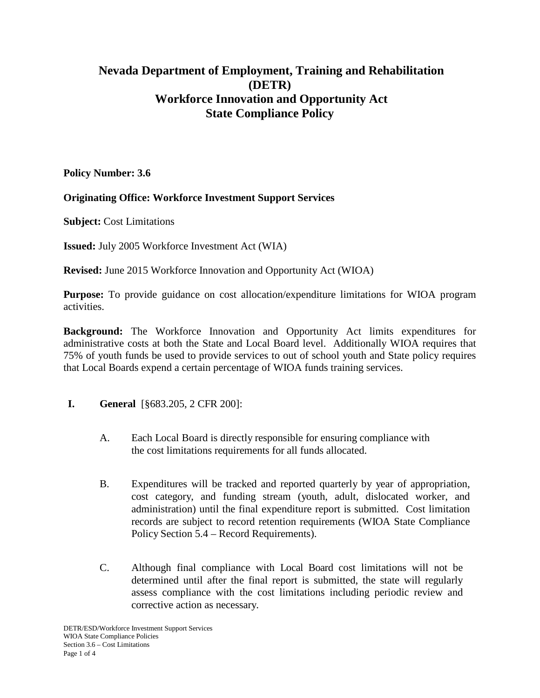## **Nevada Department of Employment, Training and Rehabilitation (DETR) Workforce Innovation and Opportunity Act State Compliance Policy**

**Policy Number: 3.6**

## **Originating Office: Workforce Investment Support Services**

**Subject:** Cost Limitations

**Issued:** July 2005 Workforce Investment Act (WIA)

**Revised:** June 2015 Workforce Innovation and Opportunity Act (WIOA)

**Purpose:** To provide guidance on cost allocation/expenditure limitations for WIOA program activities.

**Background:** The Workforce Innovation and Opportunity Act limits expenditures for administrative costs at both the State and Local Board level. Additionally WIOA requires that 75% of youth funds be used to provide services to out of school youth and State policy requires that Local Boards expend a certain percentage of WIOA funds training services.

- **I. General** [§683.205, 2 CFR 200]:
	- A. Each Local Board is directly responsible for ensuring compliance with the cost limitations requirements for all funds allocated.
	- B. Expenditures will be tracked and reported quarterly by year of appropriation, cost category, and funding stream (youth, adult, dislocated worker, and administration) until the final expenditure report is submitted. Cost limitation records are subject to record retention requirements (WIOA State Compliance Policy Section 5.4 – Record Requirements).
	- C. Although final compliance with Local Board cost limitations will not be determined until after the final report is submitted, the state will regularly assess compliance with the cost limitations including periodic review and corrective action as necessary.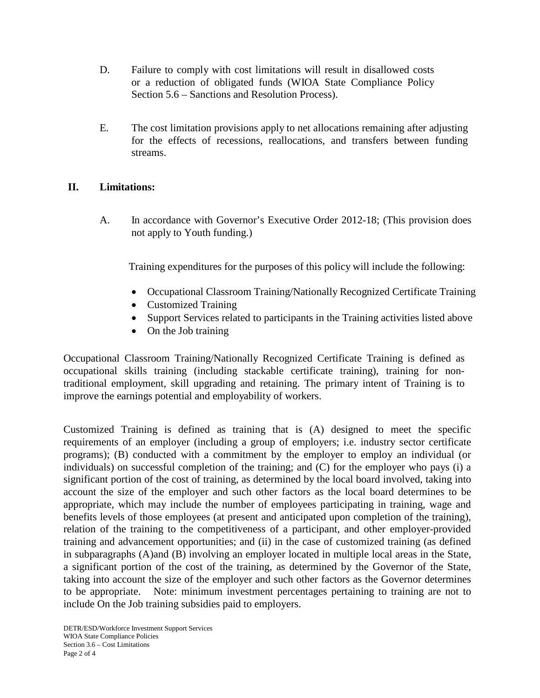- D. Failure to comply with cost limitations will result in disallowed costs or a reduction of obligated funds (WIOA State Compliance Policy Section 5.6 – Sanctions and Resolution Process).
- E. The cost limitation provisions apply to net allocations remaining after adjusting for the effects of recessions, reallocations, and transfers between funding streams.

## **II. Limitations:**

A. In accordance with Governor's Executive Order 2012-18; (This provision does not apply to Youth funding.)

Training expenditures for the purposes of this policy will include the following:

- Occupational Classroom Training/Nationally Recognized Certificate Training
- Customized Training
- Support Services related to participants in the Training activities listed above
- On the Job training

Occupational Classroom Training/Nationally Recognized Certificate Training is defined as occupational skills training (including stackable certificate training), training for nontraditional employment, skill upgrading and retaining. The primary intent of Training is to improve the earnings potential and employability of workers.

Customized Training is defined as training that is (A) designed to meet the specific requirements of an employer (including a group of employers; i.e. industry sector certificate programs); (B) conducted with a commitment by the employer to employ an individual (or individuals) on successful completion of the training; and (C) for the employer who pays (i) a significant portion of the cost of training, as determined by the local board involved, taking into account the size of the employer and such other factors as the local board determines to be appropriate, which may include the number of employees participating in training, wage and benefits levels of those employees (at present and anticipated upon completion of the training), relation of the training to the competitiveness of a participant, and other employer-provided training and advancement opportunities; and (ii) in the case of customized training (as defined in subparagraphs (A)and (B) involving an employer located in multiple local areas in the State, a significant portion of the cost of the training, as determined by the Governor of the State, taking into account the size of the employer and such other factors as the Governor determines to be appropriate. Note: minimum investment percentages pertaining to training are not to include On the Job training subsidies paid to employers.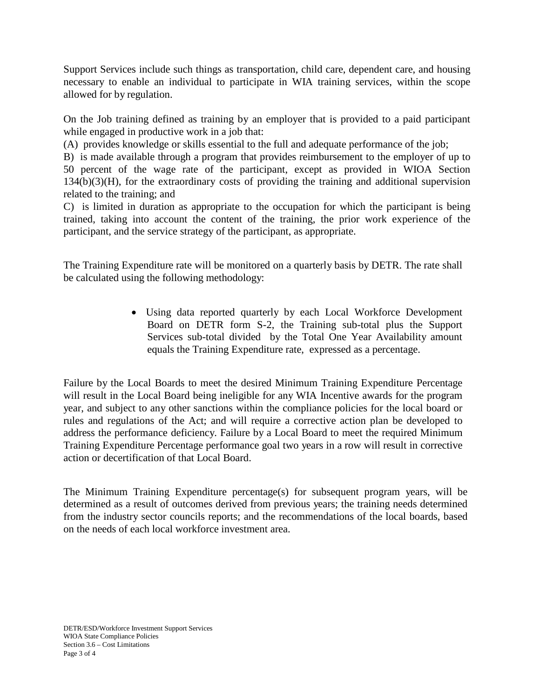Support Services include such things as transportation, child care, dependent care, and housing necessary to enable an individual to participate in WIA training services, within the scope allowed for by regulation.

On the Job training defined as training by an employer that is provided to a paid participant while engaged in productive work in a job that:

(A) provides knowledge or skills essential to the full and adequate performance of the job;

B) is made available through a program that provides reimbursement to the employer of up to 50 percent of the wage rate of the participant, except as provided in WIOA Section 134(b)(3)(H), for the extraordinary costs of providing the training and additional supervision related to the training; and

C) is limited in duration as appropriate to the occupation for which the participant is being trained, taking into account the content of the training, the prior work experience of the participant, and the service strategy of the participant, as appropriate.

The Training Expenditure rate will be monitored on a quarterly basis by DETR. The rate shall be calculated using the following methodology:

> • Using data reported quarterly by each Local Workforce Development Board on DETR form S-2, the Training sub-total plus the Support Services sub-total divided by the Total One Year Availability amount equals the Training Expenditure rate, expressed as a percentage.

Failure by the Local Boards to meet the desired Minimum Training Expenditure Percentage will result in the Local Board being ineligible for any WIA Incentive awards for the program year, and subject to any other sanctions within the compliance policies for the local board or rules and regulations of the Act; and will require a corrective action plan be developed to address the performance deficiency. Failure by a Local Board to meet the required Minimum Training Expenditure Percentage performance goal two years in a row will result in corrective action or decertification of that Local Board.

The Minimum Training Expenditure percentage(s) for subsequent program years, will be determined as a result of outcomes derived from previous years; the training needs determined from the industry sector councils reports; and the recommendations of the local boards, based on the needs of each local workforce investment area.